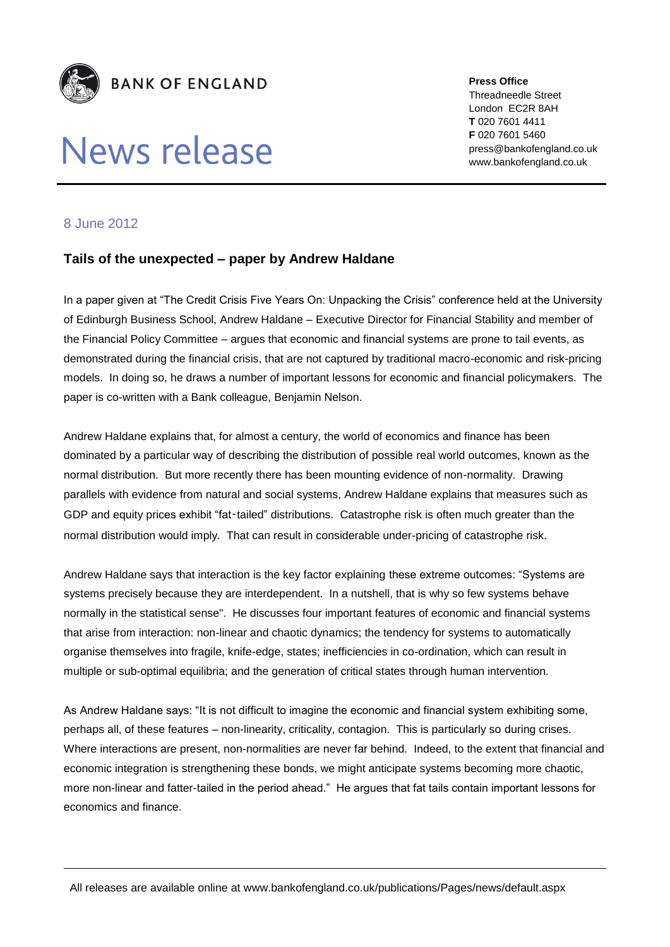

## News release

**Press Office** Threadneedle Street London EC2R 8AH **T** 020 7601 4411 **F** 020 7601 5460 press@bankofengland.co.uk www.bankofengland.co.uk

## 8 June 2012

## **Tails of the unexpected – paper by Andrew Haldane**

In a paper given at "The Credit Crisis Five Years On: Unpacking the Crisis" conference held at the University of Edinburgh Business School, Andrew Haldane – Executive Director for Financial Stability and member of the Financial Policy Committee – argues that economic and financial systems are prone to tail events, as demonstrated during the financial crisis, that are not captured by traditional macro-economic and risk-pricing models. In doing so, he draws a number of important lessons for economic and financial policymakers. The paper is co-written with a Bank colleague, Benjamin Nelson.

Andrew Haldane explains that, for almost a century, the world of economics and finance has been dominated by a particular way of describing the distribution of possible real world outcomes, known as the normal distribution. But more recently there has been mounting evidence of non-normality. Drawing parallels with evidence from natural and social systems, Andrew Haldane explains that measures such as GDP and equity prices exhibit "fat-tailed" distributions. Catastrophe risk is often much greater than the normal distribution would imply. That can result in considerable under-pricing of catastrophe risk.

Andrew Haldane says that interaction is the key factor explaining these extreme outcomes: "Systems are systems precisely because they are interdependent. In a nutshell, that is why so few systems behave normally in the statistical sense". He discusses four important features of economic and financial systems that arise from interaction: non-linear and chaotic dynamics; the tendency for systems to automatically organise themselves into fragile, knife-edge, states; inefficiencies in co-ordination, which can result in multiple or sub-optimal equilibria; and the generation of critical states through human intervention.

As Andrew Haldane says: "It is not difficult to imagine the economic and financial system exhibiting some, perhaps all, of these features – non-linearity, criticality, contagion. This is particularly so during crises. Where interactions are present, non-normalities are never far behind. Indeed, to the extent that financial and economic integration is strengthening these bonds, we might anticipate systems becoming more chaotic, more non-linear and fatter-tailed in the period ahead." He argues that fat tails contain important lessons for economics and finance.